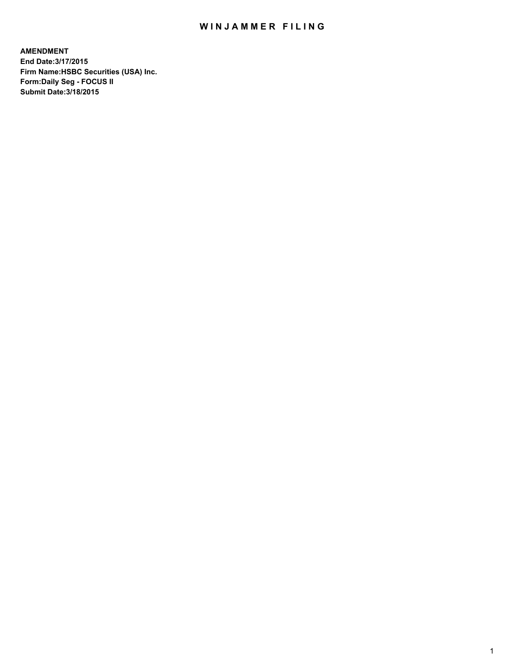## WIN JAMMER FILING

**AMENDMENT End Date:3/17/2015 Firm Name:HSBC Securities (USA) Inc. Form:Daily Seg - FOCUS II Submit Date:3/18/2015**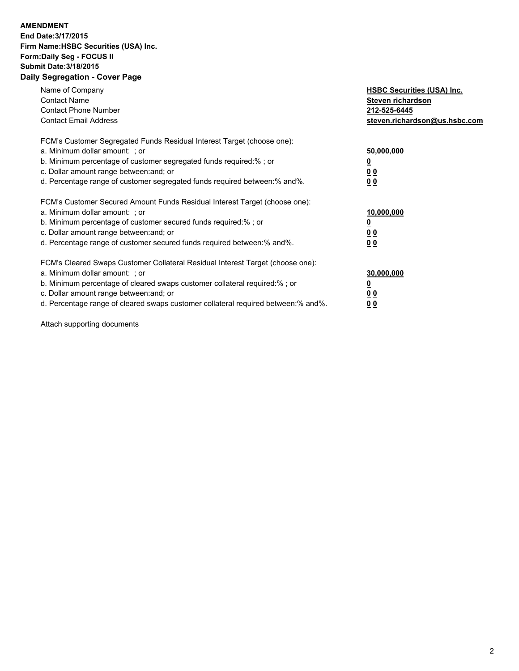## **AMENDMENT**

**End Date:3/17/2015 Firm Name:HSBC Securities (USA) Inc. Form:Daily Seg - FOCUS II Submit Date:3/18/2015 Daily Segregation - Cover Page**

| Name of Company<br><b>Contact Name</b><br><b>Contact Phone Number</b><br><b>Contact Email Address</b>                                                                                                                                                                                                                         | <b>HSBC Securities (USA) Inc.</b><br>Steven richardson<br>212-525-6445<br>steven.richardson@us.hsbc.com |
|-------------------------------------------------------------------------------------------------------------------------------------------------------------------------------------------------------------------------------------------------------------------------------------------------------------------------------|---------------------------------------------------------------------------------------------------------|
| FCM's Customer Segregated Funds Residual Interest Target (choose one):<br>a. Minimum dollar amount: ; or<br>b. Minimum percentage of customer segregated funds required:%; or<br>c. Dollar amount range between: and; or<br>d. Percentage range of customer segregated funds required between: % and %.                       | 50,000,000<br>0 <sub>0</sub><br>0 <sub>0</sub>                                                          |
| FCM's Customer Secured Amount Funds Residual Interest Target (choose one):<br>a. Minimum dollar amount: ; or<br>b. Minimum percentage of customer secured funds required:%; or<br>c. Dollar amount range between: and; or<br>d. Percentage range of customer secured funds required between: % and %.                         | 10,000,000<br><u>00</u><br>0 <sub>0</sub>                                                               |
| FCM's Cleared Swaps Customer Collateral Residual Interest Target (choose one):<br>a. Minimum dollar amount: ; or<br>b. Minimum percentage of cleared swaps customer collateral required:%; or<br>c. Dollar amount range between: and; or<br>d. Percentage range of cleared swaps customer collateral required between:% and%. | 30,000,000<br><u>00</u><br><u>00</u>                                                                    |

Attach supporting documents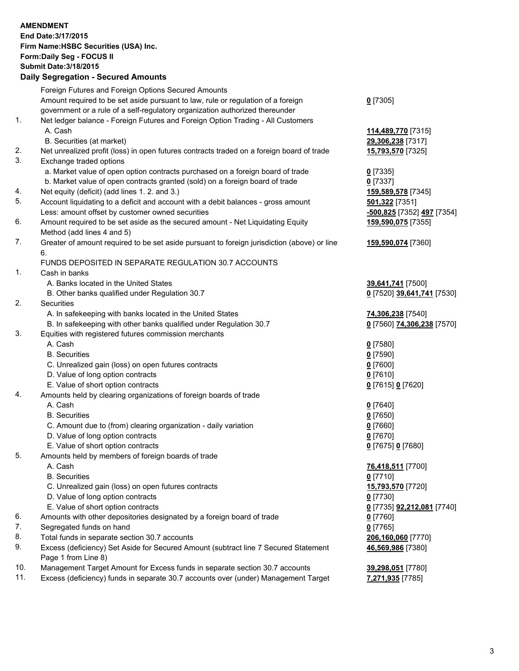## **AMENDMENT End Date:3/17/2015 Firm Name:HSBC Securities (USA) Inc. Form:Daily Seg - FOCUS II Submit Date:3/18/2015 Daily Segregation - Secured Amounts** Foreign Futures and Foreign Options Secured Amounts Amount required to be set aside pursuant to law, rule or regulation of a foreign government or a rule of a self-regulatory organization authorized thereunder **0** [7305] 1. Net ledger balance - Foreign Futures and Foreign Option Trading - All Customers A. Cash **114,489,770** [7315] B. Securities (at market) **29,306,238** [7317] 2. Net unrealized profit (loss) in open futures contracts traded on a foreign board of trade **15,793,570** [7325] 3. Exchange traded options a. Market value of open option contracts purchased on a foreign board of trade **0** [7335] b. Market value of open contracts granted (sold) on a foreign board of trade **0** [7337] 4. Net equity (deficit) (add lines 1. 2. and 3.) **159,589,578** [7345] 5. Account liquidating to a deficit and account with a debit balances - gross amount **501,322** [7351] Less: amount offset by customer owned securities **-500,825** [7352] **497** [7354] 6. Amount required to be set aside as the secured amount - Net Liquidating Equity Method (add lines 4 and 5) **159,590,075** [7355] 7. Greater of amount required to be set aside pursuant to foreign jurisdiction (above) or line 6. **159,590,074** [7360] FUNDS DEPOSITED IN SEPARATE REGULATION 30.7 ACCOUNTS 1. Cash in banks A. Banks located in the United States **39,641,741** [7500] B. Other banks qualified under Regulation 30.7 **0** [7520] **39,641,741** [7530] 2. Securities A. In safekeeping with banks located in the United States **74,306,238** [7540] B. In safekeeping with other banks qualified under Regulation 30.7 **0** [7560] **74,306,238** [7570] 3. Equities with registered futures commission merchants A. Cash **0** [7580] B. Securities **0** [7590] C. Unrealized gain (loss) on open futures contracts **0** [7600] D. Value of long option contracts **0** [7610] E. Value of short option contracts **0** [7615] **0** [7620] 4. Amounts held by clearing organizations of foreign boards of trade A. Cash **0** [7640] B. Securities **0** [7650] C. Amount due to (from) clearing organization - daily variation **0** [7660] D. Value of long option contracts **0** [7670] E. Value of short option contracts **0** [7675] **0** [7680] 5. Amounts held by members of foreign boards of trade A. Cash **76,418,511** [7700] B. Securities **0** [7710] C. Unrealized gain (loss) on open futures contracts **15,793,570** [7720] D. Value of long option contracts **0** [7730] E. Value of short option contracts **0** [7735] **92,212,081** [7740] 6. Amounts with other depositories designated by a foreign board of trade **0** [7760] 7. Segregated funds on hand **0** [7765] 8. Total funds in separate section 30.7 accounts **206,160,060** [7770] 9. Excess (deficiency) Set Aside for Secured Amount (subtract line 7 Secured Statement Page 1 from Line 8) **46,569,986** [7380] 10. Management Target Amount for Excess funds in separate section 30.7 accounts **39,298,051** [7780]

11. Excess (deficiency) funds in separate 30.7 accounts over (under) Management Target **7,271,935** [7785]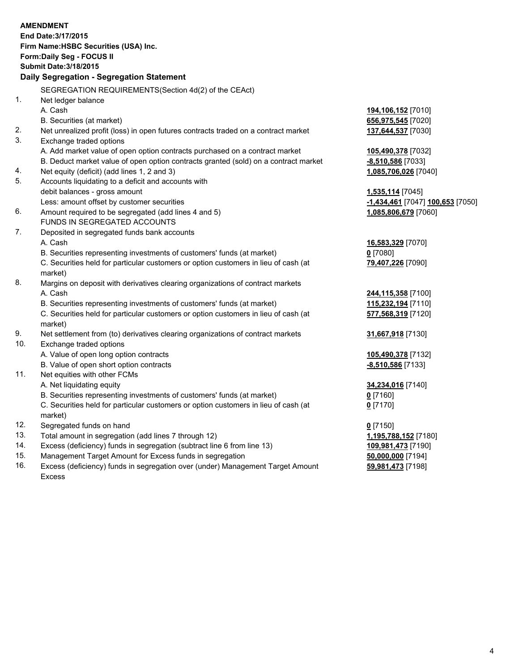|                                                             | <b>AMENDMENT</b><br>End Date: 3/17/2015                                                                       |                                           |  |  |  |
|-------------------------------------------------------------|---------------------------------------------------------------------------------------------------------------|-------------------------------------------|--|--|--|
| Firm Name: HSBC Securities (USA) Inc.                       |                                                                                                               |                                           |  |  |  |
| Form: Daily Seg - FOCUS II<br><b>Submit Date: 3/18/2015</b> |                                                                                                               |                                           |  |  |  |
| Daily Segregation - Segregation Statement                   |                                                                                                               |                                           |  |  |  |
|                                                             |                                                                                                               |                                           |  |  |  |
|                                                             | SEGREGATION REQUIREMENTS(Section 4d(2) of the CEAct)                                                          |                                           |  |  |  |
| $\mathbf{1}$ .                                              | Net ledger balance                                                                                            |                                           |  |  |  |
|                                                             | A. Cash                                                                                                       | 194,106,152 [7010]                        |  |  |  |
|                                                             | B. Securities (at market)                                                                                     | 656,975,545 [7020]                        |  |  |  |
| 2.<br>3.                                                    | Net unrealized profit (loss) in open futures contracts traded on a contract market<br>Exchange traded options | 137,644,537 [7030]                        |  |  |  |
|                                                             | A. Add market value of open option contracts purchased on a contract market                                   |                                           |  |  |  |
|                                                             | B. Deduct market value of open option contracts granted (sold) on a contract market                           | 105,490,378 [7032]<br>$-8,510,586$ [7033] |  |  |  |
| 4.                                                          | Net equity (deficit) (add lines 1, 2 and 3)                                                                   | 1,085,706,026 [7040]                      |  |  |  |
| 5.                                                          | Accounts liquidating to a deficit and accounts with                                                           |                                           |  |  |  |
|                                                             | debit balances - gross amount                                                                                 | 1,535,114 [7045]                          |  |  |  |
|                                                             | Less: amount offset by customer securities                                                                    | -1,434,461 [7047] 100,653 [7050]          |  |  |  |
| 6.                                                          | Amount required to be segregated (add lines 4 and 5)                                                          | 1,085,806,679 [7060]                      |  |  |  |
|                                                             | FUNDS IN SEGREGATED ACCOUNTS                                                                                  |                                           |  |  |  |
| 7.                                                          | Deposited in segregated funds bank accounts                                                                   |                                           |  |  |  |
|                                                             | A. Cash                                                                                                       | 16,583,329 [7070]                         |  |  |  |
|                                                             | B. Securities representing investments of customers' funds (at market)                                        | $0$ [7080]                                |  |  |  |
|                                                             | C. Securities held for particular customers or option customers in lieu of cash (at                           | 79,407,226 [7090]                         |  |  |  |
|                                                             | market)                                                                                                       |                                           |  |  |  |
| 8.                                                          | Margins on deposit with derivatives clearing organizations of contract markets                                |                                           |  |  |  |
|                                                             | A. Cash                                                                                                       | 244,115,358 [7100]                        |  |  |  |
|                                                             | B. Securities representing investments of customers' funds (at market)                                        | 115,232,194 [7110]                        |  |  |  |
|                                                             | C. Securities held for particular customers or option customers in lieu of cash (at<br>market)                | 577,568,319 [7120]                        |  |  |  |
| 9.                                                          | Net settlement from (to) derivatives clearing organizations of contract markets                               | 31,667,918 [7130]                         |  |  |  |
| 10.                                                         | Exchange traded options                                                                                       |                                           |  |  |  |
|                                                             | A. Value of open long option contracts                                                                        | 105,490,378 [7132]                        |  |  |  |
|                                                             | B. Value of open short option contracts                                                                       | -8,510,586 [7133]                         |  |  |  |
| 11.                                                         | Net equities with other FCMs                                                                                  |                                           |  |  |  |
|                                                             | A. Net liquidating equity                                                                                     | 34,234,016 [7140]                         |  |  |  |
|                                                             | B. Securities representing investments of customers' funds (at market)                                        | <u>0</u> [7160]                           |  |  |  |
|                                                             | C. Securities held for particular customers or option customers in lieu of cash (at<br>market)                | $0$ [7170]                                |  |  |  |
| 12.                                                         | Segregated funds on hand                                                                                      | $0$ [7150]                                |  |  |  |
| 13.                                                         | Total amount in segregation (add lines 7 through 12)                                                          | 1,195,788,152 [7180]                      |  |  |  |
| 14.                                                         | Excess (deficiency) funds in segregation (subtract line 6 from line 13)                                       | 109,981,473 [7190]                        |  |  |  |
| 15.                                                         | Management Target Amount for Excess funds in segregation                                                      | 50,000,000 [7194]                         |  |  |  |
| 16.                                                         | Excess (deficiency) funds in segregation over (under) Management Target Amount                                | 59,981,473 [7198]                         |  |  |  |

16. Excess (deficiency) funds in segregation over (under) Management Target Amount Excess